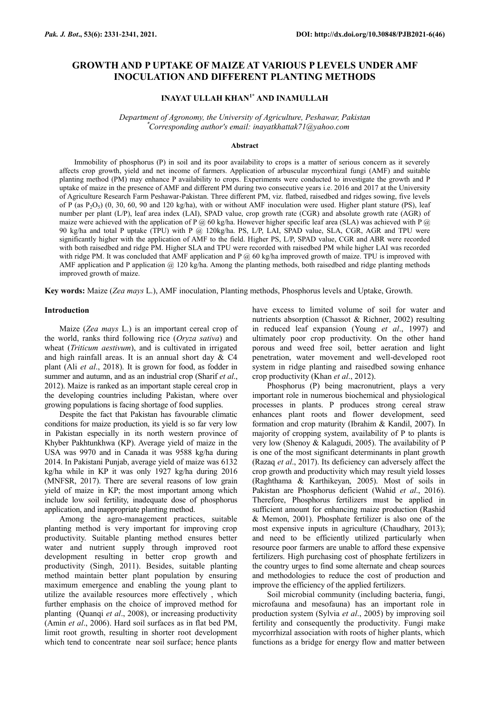# **GROWTH AND P UPTAKE OF MAIZE AT VARIOUS P LEVELS UNDER AMF INOCULATION AND DIFFERENT PLANTING METHODS**

# **INAYAT ULLAH KHAN1\* AND INAMULLAH**

*Department of Agronomy, the University of Agriculture, Peshawar, Pakistan* \**Corresponding author's email: inayatkhattak71@yahoo.com*

#### **Abstract**

Immobility of phosphorus (P) in soil and its poor availability to crops is a matter of serious concern as it severely affects crop growth, yield and net income of farmers. Application of arbuscular mycorrhizal fungi (AMF) and suitable planting method (PM) may enhance P availability to crops. Experiments were conducted to investigate the growth and P uptake of maize in the presence of AMF and different PM during two consecutive years i.e. 2016 and 2017 at the University of Agriculture Research Farm Peshawar-Pakistan. Three different PM, viz. flatbed, raisedbed and ridges sowing, five levels of P (as  $P_2O_5$ ) (0, 30, 60, 90 and 120 kg/ha), with or without AMF inoculation were used. Higher plant stature (PS), leaf number per plant (L/P), leaf area index (LAI), SPAD value, crop growth rate (CGR) and absolute growth rate (AGR) of maize were achieved with the application of P  $@$  60 kg/ha. However higher specific leaf area (SLA) was achieved with P  $@$ 90 kg/ha and total P uptake (TPU) with P @ 120kg/ha. PS, L/P, LAI, SPAD value, SLA, CGR, AGR and TPU were significantly higher with the application of AMF to the field. Higher PS, L/P, SPAD value, CGR and ABR were recorded with both raisedbed and ridge PM. Higher SLA and TPU were recorded with raisedbed PM while higher LAI was recorded with ridge PM. It was concluded that AMF application and P  $@$  60 kg/ha improved growth of maize. TPU is improved with AMF application and P application @ 120 kg/ha. Among the planting methods, both raisedbed and ridge planting methods improved growth of maize.

**Key words:** Maize (*Zea mays* L.), AMF inoculation, Planting methods, Phosphorus levels and Uptake, Growth.

#### **Introduction**

Maize (*Zea mays* L.) is an important cereal crop of the world, ranks third following rice (*Oryza sativa*) and wheat (*Triticum aestivum*), and is cultivated in irrigated and high rainfall areas. It is an annual short day & C4 plant (Ali *et al*., 2018). It is grown for food, as fodder in summer and autumn, and as an industrial crop (Sharif *et al*., 2012). Maize is ranked as an important staple cereal crop in the developing countries including Pakistan, where over growing populations is facing shortage of food supplies.

Despite the fact that Pakistan has favourable climatic conditions for maize production, its yield is so far very low in Pakistan especially in its north western province of Khyber Pakhtunkhwa (KP). Average yield of maize in the USA was 9970 and in Canada it was 9588 kg/ha during 2014. In Pakistani Punjab, average yield of maize was 6132 kg/ha while in KP it was only 1927 kg/ha during 2016 (MNFSR, 2017). There are several reasons of low grain yield of maize in KP; the most important among which include low soil fertility, inadequate dose of phosphorus application, and inappropriate planting method.

Among the agro-management practices, suitable planting method is very important for improving crop productivity. Suitable planting method ensures better water and nutrient supply through improved root development resulting in better crop growth and productivity (Singh, 2011). Besides, suitable planting method maintain better plant population by ensuring maximum emergence and enabling the young plant to utilize the available resources more effectively , which further emphasis on the choice of improved method for planting (Quanqi *et al*., 2008), or increasing productivity (Amin *et al*., 2006). Hard soil surfaces as in flat bed PM, limit root growth, resulting in shorter root development which tend to concentrate near soil surface; hence plants have excess to limited volume of soil for water and nutrients absorption (Chassot & Richner, 2002) resulting in reduced leaf expansion (Young *et al*., 1997) and ultimately poor crop productivity. On the other hand porous and weed free soil, better aeration and light penetration, water movement and well-developed root system in ridge planting and raisedbed sowing enhance crop productivity (Khan *et al*., 2012).

Phosphorus (P) being macronutrient, plays a very important role in numerous biochemical and physiological processes in plants. P produces strong cereal straw enhances plant roots and flower development, seed formation and crop maturity (Ibrahim & Kandil, 2007). In majority of cropping system, availability of P to plants is very low (Shenoy & Kalagudi, 2005). The availability of P is one of the most significant determinants in plant growth (Razaq *et al*., 2017). Its deficiency can adversely affect the crop growth and productivity which may result yield losses (Raghthama & Karthikeyan, 2005). Most of soils in Pakistan are Phosphorus deficient (Wahid *et al*., 2016). Therefore, Phosphorus fertilizers must be applied in sufficient amount for enhancing maize production (Rashid & Memon, 2001). Phosphate fertilizer is also one of the most expensive inputs in agriculture (Chaudhary, 2013); and need to be efficiently utilized particularly when resource poor farmers are unable to afford these expensive fertilizers. High purchasing cost of phosphate fertilizers in the country urges to find some alternate and cheap sources and methodologies to reduce the cost of production and improve the efficiency of the applied fertilizers.

Soil microbial community (including bacteria, fungi, microfauna and mesofauna) has an important role in production system (Sylvia *et al*., 2005) by improving soil fertility and consequently the productivity. Fungi make mycorrhizal association with roots of higher plants, which functions as a bridge for energy flow and matter between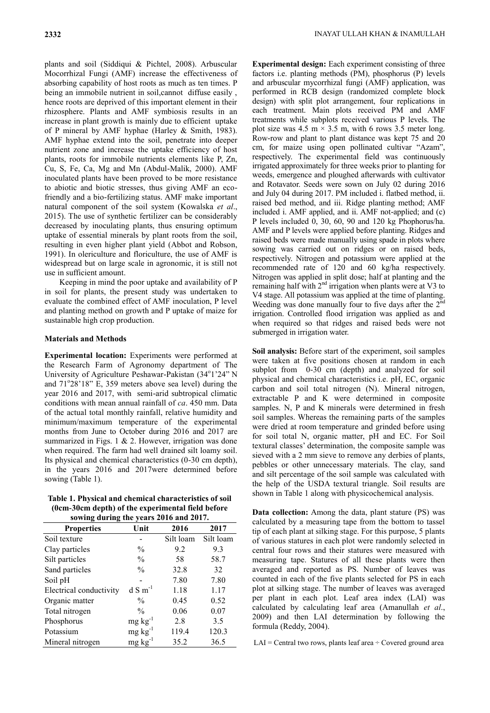plants and soil (Siddiqui & Pichtel, 2008). Arbuscular Mocorrhizal Fungi (AMF) increase the effectiveness of absorbing capability of host roots as much as ten times. P being an immobile nutrient in soil,cannot diffuse easily , hence roots are deprived of this important element in their rhizosphere. Plants and AMF symbiosis results in an increase in plant growth is mainly due to efficient uptake of P mineral by AMF hyphae (Harley & Smith, 1983). AMF hyphae extend into the soil, penetrate into deeper nutrient zone and increase the uptake efficiency of host plants, roots for immobile nutrients elements like P, Zn, Cu, S, Fe, Ca, Mg and Mn (Abdul-Malik, 2000). AMF inoculated plants have been proved to be more resistance to abiotic and biotic stresses, thus giving AMF an ecofriendly and a bio-fertilizing status. AMF make important natural component of the soil system (Kowalska *et al*., 2015). The use of synthetic fertilizer can be considerably decreased by inoculating plants, thus ensuring optimum uptake of essential minerals by plant roots from the soil, resulting in even higher plant yield (Abbot and Robson, 1991). In olericulture and floriculture, the use of AMF is widespread but on large scale in agronomic, it is still not use in sufficient amount.

Keeping in mind the poor uptake and availability of P in soil for plants, the present study was undertaken to evaluate the combined effect of AMF inoculation, P level and planting method on growth and P uptake of maize for sustainable high crop production.

#### **Materials and Methods**

**Experimental location:** Experiments were performed at the Research Farm of Agronomy department of The University of Agriculture Peshawar-Pakistan (34°1'24" N and  $71^{\circ}28'18''$  E, 359 meters above sea level) during the year 2016 and 2017, with semi-arid subtropical climatic conditions with mean annual rainfall of *ca*. 450 mm. Data of the actual total monthly rainfall, relative humidity and minimum/maximum temperature of the experimental months from June to October during 2016 and 2017 are summarized in Figs. 1 & 2. However, irrigation was done when required. The farm had well drained silt loamy soil. Its physical and chemical characteristics (0-30 cm depth), in the years 2016 and 2017were determined before sowing (Table 1).

| Table 1. Physical and chemical characteristics of soil                                                                    |
|---------------------------------------------------------------------------------------------------------------------------|
| (0cm-30cm depth) of the experimental field before                                                                         |
| $\frac{1}{2}$ and $\frac{1}{2}$ and $\frac{1}{2}$ and $\frac{1}{2}$ and $\frac{1}{2}$ and $\frac{1}{2}$ and $\frac{1}{2}$ |

| sowing during the years 2016 and 2017. |                       |           |           |  |  |
|----------------------------------------|-----------------------|-----------|-----------|--|--|
| <b>Properties</b>                      | Unit                  | 2016      | 2017      |  |  |
| Soil texture                           |                       | Silt loam | Silt loam |  |  |
| Clay particles                         | $\frac{0}{0}$         | 9.2       | 9.3       |  |  |
| Silt particles                         | $\frac{0}{0}$         | 58        | 58.7      |  |  |
| Sand particles                         | $\frac{0}{0}$         | 32.8      | 32        |  |  |
| Soil pH                                |                       | 7.80      | 7.80      |  |  |
| Electrical conductivity                | $d$ S m <sup>-1</sup> | 1.18      | 1.17      |  |  |
| Organic matter                         | $\frac{0}{0}$         | 0.45      | 0.52      |  |  |
| Total nitrogen                         | $\frac{0}{0}$         | 0.06      | 0.07      |  |  |
| Phosphorus                             | $mg \, kg^{-1}$       | 2.8       | 3.5       |  |  |
| Potassium                              | $mg \, kg^{-1}$       | 119.4     | 120.3     |  |  |
| Mineral nitrogen                       | $mg \, kg^{-1}$       | 35.2      | 36.5      |  |  |
|                                        |                       |           |           |  |  |

**Experimental design:** Each experiment consisting of three factors i.e. planting methods (PM), phosphorus (P) levels and arbuscular mycorrhizal fungi (AMF) application, was performed in RCB design (randomized complete block design) with split plot arrangement, four replications in each treatment. Main plots received PM and AMF treatments while subplots received various P levels. The plot size was 4.5 m  $\times$  3.5 m, with 6 rows 3.5 meter long. Row-row and plant to plant distance was kept 75 and 20 cm, for maize using open pollinated cultivar "Azam", respectively. The experimental field was continuously irrigated approximately for three weeks prior to planting for weeds, emergence and ploughed afterwards with cultivator and Rotavator. Seeds were sown on July 02 during 2016 and July 04 during 2017. PM included i. flatbed method, ii. raised bed method, and iii. Ridge planting method; AMF included i. AMF applied, and ii. AMF not-applied; and (c) P levels included 0, 30, 60, 90 and 120 kg Phophorus/ha. AMF and P levels were applied before planting. Ridges and raised beds were made manually using spade in plots where sowing was carried out on ridges or on raised beds, respectively. Nitrogen and potassium were applied at the recommended rate of 120 and 60 kg/ha respectively. Nitrogen was applied in split dose; half at planting and the remaining half with  $2<sup>nd</sup>$  irrigation when plants were at V3 to V4 stage. All potassium was applied at the time of planting. Weeding was done manually four to five days after the  $2<sup>nd</sup>$ irrigation. Controlled flood irrigation was applied as and when required so that ridges and raised beds were not submerged in irrigation water.

**Soil analysis:** Before start of the experiment, soil samples were taken at five positions chosen at random in each subplot from 0-30 cm (depth) and analyzed for soil physical and chemical characteristics i.e. pH, EC, organic carbon and soil total nitrogen (N). Mineral nitrogen, extractable P and K were determined in composite samples. N, P and K minerals were determined in fresh soil samples. Whereas the remaining parts of the samples were dried at room temperature and grinded before using for soil total N, organic matter, pH and EC. For Soil textural classes' determination, the composite sample was sieved with a 2 mm sieve to remove any derbies of plants, pebbles or other unnecessary materials. The clay, sand and silt percentage of the soil sample was calculated with the help of the USDA textural triangle. Soil results are shown in Table 1 along with physicochemical analysis.

**Data collection:** Among the data, plant stature (PS) was calculated by a measuring tape from the bottom to tassel tip of each plant at silking stage. For this purpose, 5 plants of various statures in each plot were randomly selected in central four rows and their statures were measured with measuring tape. Statures of all these plants were then averaged and reported as PS. Number of leaves was counted in each of the five plants selected for PS in each plot at silking stage. The number of leaves was averaged per plant in each plot. Leaf area index (LAI) was calculated by calculating leaf area (Amanullah *et al*., 2009) and then LAI determination by following the formula (Reddy, 2004).

 $LAI = Central two rows, plants leaf area  $\div$  Covered ground area$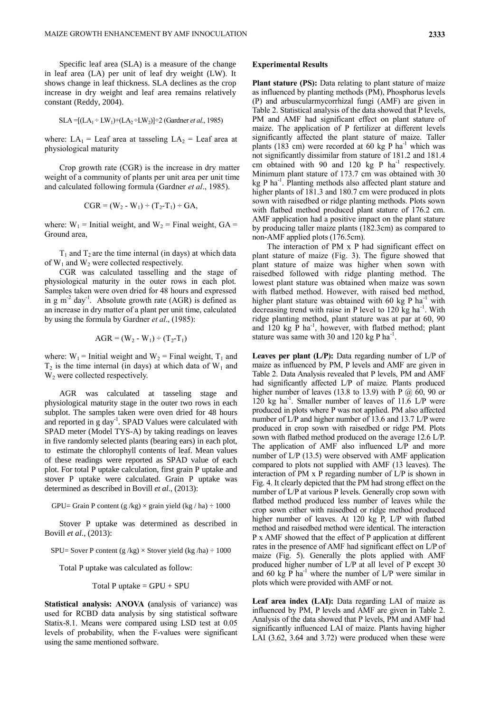Specific leaf area (SLA) is a measure of the change in leaf area (LA) per unit of leaf dry weight (LW). It shows change in leaf [thickness.](https://en.wiktionary.org/wiki/thickness) SLA declines as the crop increase in dry weight and leaf area remains relatively constant (Reddy, 2004).

SLA = 
$$
[(LA_1 \div LW_1) + (LA_2 \div LW_2)] \div 2
$$
 (Gardner *et al.*, 1985)

where:  $LA_1$  = Leaf area at tasseling  $LA_2$  = Leaf area at physiological maturity

Crop growth rate (CGR) is the increase in dry matter weight of a community of plants per unit area per unit time and calculated following formula (Gardner *et al*., 1985).

$$
CGR = (W_2 - W_1) \div (T_2 - T_1) \div GA,
$$

where:  $W_1$  = Initial weight, and  $W_2$  = Final weight, GA = Ground area,

 $T_1$  and  $T_2$  are the time internal (in days) at which data of  $W_1$  and  $W_2$  were collected respectively.

CGR was calculated tasselling and the stage of physiological maturity in the outer rows in each plot. Samples taken were oven dried for 48 hours and expressed in  $g \text{ m}^{-2}$  day<sup>-1</sup>. Absolute growth rate (AGR) is defined as an increase in dry matter of a plant per unit time, calculated by using the formula by Gardner *et al*., (1985):

$$
AGR = (W_2 - W_1) \div (T_2 - T_1)
$$

where:  $W_1$  = Initial weight and  $W_2$  = Final weight,  $T_1$  and  $T_2$  is the time internal (in days) at which data of  $W_1$  and W<sub>2</sub> were collected respectively.

AGR was calculated at tasseling stage and physiological maturity stage in the outer two rows in each subplot. The samples taken were oven dried for 48 hours and reported in g day<sup>-1</sup>. SPAD Values were calculated with SPAD meter (Model TYS-A) by taking readings on leaves in five randomly selected plants (bearing ears) in each plot, to estimate the chlorophyll contents of leaf. Mean values of these readings were reported as SPAD value of each plot. For total P uptake calculation, first grain P uptake and stover P uptake were calculated. Grain P uptake was determined as described in Bovill *et al*., (2013):

GPU= Grain P content (g /kg)  $\times$  grain yield (kg / ha)  $\div$  1000

Stover P uptake was determined as described in Bovill *et al*., (2013):

SPU= Sover P content (g /kg)  $\times$  Stover yield (kg /ha)  $\div$  1000

Total P uptake was calculated as follow:

$$
Total P uptake = GPU + SPU
$$

**Statistical analysis: ANOVA (**analysis of variance) was used for RCBD data analysis by sing statistical software Statix-8.1. Means were compared using LSD test at 0.05 levels of probability, when the F-values were significant using the same mentioned software.

### **Experimental Results**

Plant stature (PS): Data relating to plant stature of maize as influenced by planting methods (PM), Phosphorus levels (P) and arbuscularmycorrhizal fungi (AMF) are given in Table 2. Statistical analysis of the data showed that P levels, PM and AMF had significant effect on plant stature of maize. The application of P fertilizer at different levels significantly affected the plant stature of maize. Taller plants (183 cm) were recorded at 60 kg P ha<sup>-1</sup> which was not significantly dissimilar from stature of 181.2 and 181.4 cm obtained with 90 and 120  $kg$  P ha<sup>-1</sup> respectively. Minimum plant stature of 173.7 cm was obtained with 30 kg P ha<sup>-1</sup>. Planting methods also affected plant stature and higher plants of 181.3 and 180.7 cm were produced in plots sown with raisedbed or ridge planting methods. Plots sown with flatbed method produced plant stature of 176.2 cm. AMF application had a positive impact on the plant stature by producing taller maize plants (182.3cm) as compared to non-AMF applied plots (176.5cm).

The interaction of PM x P had significant effect on plant stature of maize (Fig. 3). The figure showed that plant stature of maize was higher when sown with raisedbed followed with ridge planting method. The lowest plant stature was obtained when maize was sown with flatbed method. However, with raised bed method, higher plant stature was obtained with 60 kg P ha<sup>-1</sup> with decreasing trend with raise in P level to  $120$  kg ha<sup>-1</sup>. With ridge planting method, plant stature was at par at 60, 90 and  $120 \text{ kg} \, \text{P}$  ha<sup>-1</sup>, however, with flatbed method; plant stature was same with 30 and 120 kg P ha<sup>-1</sup>.

**Leaves per plant (L/P):** Data regarding number of L/P of maize as influenced by PM, P levels and AMF are given in Table 2. Data Analysis revealed that P levels, PM and AMF had significantly affected L/P of maize. Plants produced higher number of leaves (13.8 to 13.9) with P  $(2)$  60, 90 or 120 kg ha<sup>-1</sup>. Smaller number of leaves of 11.6 L/P were produced in plots where P was not applied. PM also affected number of L/P and higher number of 13.6 and 13.7 L/P were produced in crop sown with raisedbed or ridge PM. Plots sown with flatbed method produced on the average 12.6 L/P. The application of AMF also influenced L/P and more number of L/P (13.5) were observed with AMF application compared to plots not supplied with AMF (13 leaves). The interaction of PM x P regarding number of L/P is shown in Fig. 4. It clearly depicted that the PM had strong effect on the number of L/P at various P levels. Generally crop sown with flatbed method produced less number of leaves while the crop sown either with raisedbed or ridge method produced higher number of leaves. At 120 kg P, L/P with flatbed method and raisedbed method were identical. The interaction P x AMF showed that the effect of P application at different rates in the presence of AMF had significant effect on L/P of maize (Fig. 5). Generally the plots applied with AMF produced higher number of L/P at all level of P except 30 and 60 kg  $\overline{P}$  ha<sup>-1</sup> where the number of L/P were similar in plots which were provided with AMF or not.

Leaf area index (LAI): Data regarding LAI of maize as influenced by PM, P levels and AMF are given in Table 2. Analysis of the data showed that P levels, PM and AMF had significantly influenced LAI of maize. Plants having higher LAI (3.62, 3.64 and 3.72) were produced when these were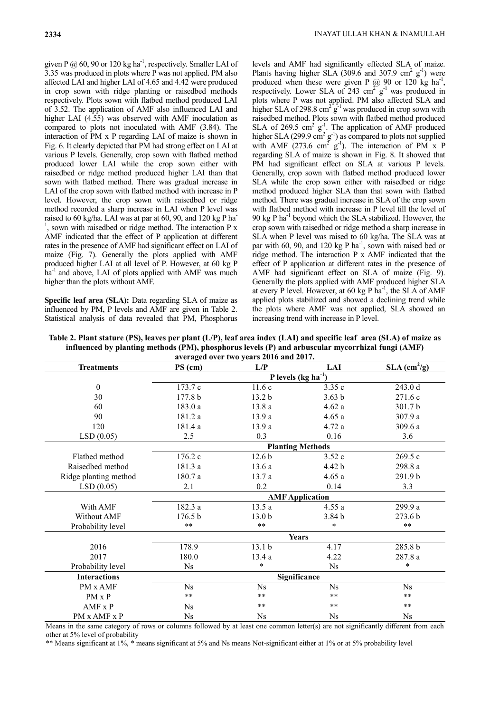given P  $@$  60, 90 or 120 kg ha<sup>-1</sup>, respectively. Smaller LAI of 3.35 was produced in plots where P was not applied. PM also affected LAI and higher LAI of 4.65 and 4.42 were produced in crop sown with ridge planting or raisedbed methods respectively. Plots sown with flatbed method produced LAI of 3.52. The application of AMF also influenced LAI and higher LAI (4.55) was observed with AMF inoculation as compared to plots not inoculated with AMF (3.84). The interaction of PM x P regarding LAI of maize is shown in Fig. 6. It clearly depicted that PM had strong effect on LAI at various P levels. Generally, crop sown with flatbed method produced lower LAI while the crop sown either with raisedbed or ridge method produced higher LAI than that sown with flatbed method. There was gradual increase in LAI of the crop sown with flatbed method with increase in P level. However, the crop sown with raisedbed or ridge method recorded a sharp increase in LAI when P level was raised to 60 kg/ha. LAI was at par at 60, 90, and 120 kg P ha-1 , sown with raisedbed or ridge method. The interaction P x AMF indicated that the effect of P application at different rates in the presence of AMF had significant effect on LAI of maize (Fig. 7). Generally the plots applied with AMF produced higher LAI at all level of P. However, at 60 kg P  $ha^{-1}$  and above, LAI of plots applied with AMF was much higher than the plots without AMF.

**Specific leaf area (SLA):** Data regarding SLA of maize as influenced by PM, P levels and AMF are given in Table 2. Statistical analysis of data revealed that PM, Phosphorus

levels and AMF had significantly effected SLA of maize. Plants having higher SLA (309.6 and 307.9 cm<sup>2</sup>  $g^{-1}$ ) were produced when these were given P  $(2)$  90 or 120 kg ha<sup>-1</sup>, respectively. Lower SLA of 243  $\text{cm}^2 \text{ g}^{-1}$  was produced in plots where P was not applied. PM also affected SLA and higher SLA of 298.8 cm<sup>2</sup>  $g^{-1}$  was produced in crop sown with raisedbed method. Plots sown with flatbed method produced SLA of 269.5  $\text{cm}^2$   $\text{g}^{-1}$ . The application of AMF produced higher SLA (299.9 cm<sup>2</sup> g<sup>-1</sup>) as compared to plots not supplied with AMF  $(273.6 \text{ cm}^2 \text{ g}^{-1})$ . The interaction of PM x P regarding SLA of maize is shown in Fig. 8. It showed that PM had significant effect on SLA at various P levels. Generally, crop sown with flatbed method produced lower SLA while the crop sown either with raisedbed or ridge method produced higher SLA than that sown with flatbed method. There was gradual increase in SLA of the crop sown with flatbed method with increase in P level till the level of 90 kg P ha<sup>-1</sup> beyond which the SLA stabilized. However, the crop sown with raisedbed or ridge method a sharp increase in SLA when P level was raised to 60 kg/ha. The SLA was at par with 60, 90, and 120 kg P ha<sup>-1</sup>, sown with raised bed or ridge method. The interaction P x AMF indicated that the effect of P application at different rates in the presence of AMF had significant effect on SLA of maize (Fig. 9). Generally the plots applied with AMF produced higher SLA at every P level. However, at 60 kg P  $ha^{-1}$ , the SLA of AMF applied plots stabilized and showed a declining trend while the plots where AMF was not applied, SLA showed an increasing trend with increase in P level.

**Table 2. Plant stature (PS), leaves per plant (L/P), leaf area index (LAI) and specific leaf area (SLA) of maize as influenced by planting methods (PM), phosphorus levels (P) and arbuscular mycorrhizal fungi (AMF)** 

| averaged over two years 2016 and 2017. |                           |                   |                        |                            |  |  |  |
|----------------------------------------|---------------------------|-------------------|------------------------|----------------------------|--|--|--|
| <b>Treatments</b>                      | $PS$ (cm)                 | L/P               | LAI                    | $SLA$ (cm <sup>2</sup> /g) |  |  |  |
|                                        | P levels ( $kg ha^{-1}$ ) |                   |                        |                            |  |  |  |
| $\mathbf{0}$                           | 173.7 c                   | 11.6c             | 3.35c                  | 243.0 d                    |  |  |  |
| 30                                     | 177.8 <sub>b</sub>        | 13.2 <sub>b</sub> | 3.63 <sub>b</sub>      | 271.6c                     |  |  |  |
| 60                                     | 183.0 a                   | 13.8 a            | 4.62a                  | 301.7b                     |  |  |  |
| 90                                     | 181.2 a                   | 13.9a             | 4.65a                  | 307.9 a                    |  |  |  |
| 120                                    | 181.4 a                   | 13.9a             | 4.72 a                 | 309.6 a                    |  |  |  |
| LSD(0.05)                              | 2.5                       | 0.3               | 0.16                   | 3.6                        |  |  |  |
|                                        | <b>Planting Methods</b>   |                   |                        |                            |  |  |  |
| Flathed method                         | 176.2 c                   | 12.6 <sub>b</sub> | 3.52c                  | 269.5 c                    |  |  |  |
| Raisedbed method                       | 181.3a                    | 13.6a             | 4.42 <sub>b</sub>      | 298.8 a                    |  |  |  |
| Ridge planting method                  | 180.7a                    | 13.7a             | 4.65a                  | 291.9 <sub>b</sub>         |  |  |  |
| LSD(0.05)                              | 2.1                       | 0.2               | 0.14                   | 3.3                        |  |  |  |
|                                        |                           |                   | <b>AMF</b> Application |                            |  |  |  |
| With AMF                               | 182.3 a                   | 13.5a             | 4.55a                  | 299.9 a                    |  |  |  |
| Without AMF                            | 176.5 b                   | 13.0 <sub>b</sub> | 3.84 <sub>b</sub>      | 273.6 <sub>b</sub>         |  |  |  |
| Probability level                      | $***$                     | $***$             | *                      | $***$                      |  |  |  |
|                                        | <b>Years</b>              |                   |                        |                            |  |  |  |
| 2016                                   | 178.9                     | 13.1 b            | 4.17                   | 285.8 b                    |  |  |  |
| 2017                                   | 180.0                     | 13.4 a            | 4.22                   | 287.8a                     |  |  |  |
| Probability level                      | Ns                        | $\ast$            | <b>Ns</b>              | $\ast$                     |  |  |  |
| <b>Interactions</b>                    | Significance              |                   |                        |                            |  |  |  |
| PM x AMF                               | N <sub>s</sub>            | N <sub>s</sub>    | N <sub>s</sub>         | N <sub>s</sub>             |  |  |  |
| PM x P                                 | $***$                     | $***$             | $***$                  | $***$                      |  |  |  |
| $AMF \times P$                         | $N_{\rm s}$               | $***$             | $***$                  | $***$                      |  |  |  |
| PM x AMF x P                           | $N_{\rm s}$               | $N_{\rm s}$       | $N_{\rm s}$            | $N_{\rm s}$                |  |  |  |

Means in the same category of rows or columns followed by at least one common letter(s) are not significantly different from each other at 5% level of probability

\*\* Means significant at 1%, \* means significant at 5% and Ns means Not-significant either at 1% or at 5% probability level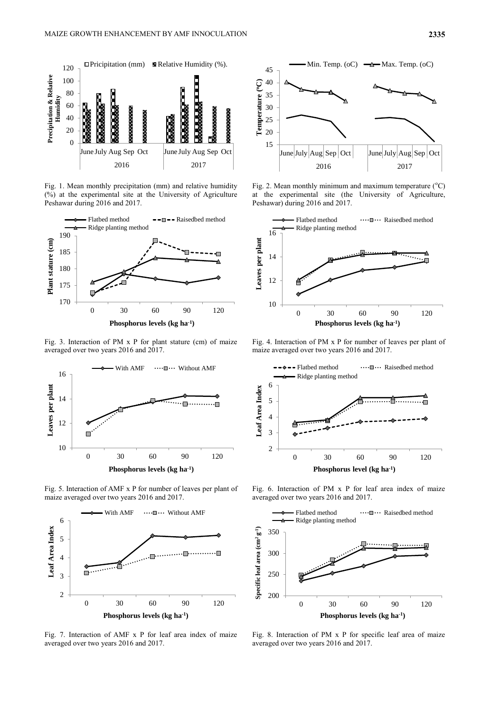

Fig. 1. Mean monthly precipitation (mm) and relative humidity (%) at the experimental site at the University of Agriculture Peshawar during 2016 and 2017.



Fig. 3. Interaction of PM x P for plant stature (cm) of maize averaged over two years 2016 and 2017.



Fig. 5. Interaction of AMF x P for number of leaves per plant of maize averaged over two years 2016 and 2017.



Fig. 7. Interaction of AMF x P for leaf area index of maize averaged over two years 2016 and 2017.



Fig. 2. Mean monthly minimum and maximum temperature  $(^{\circ}C)$ at the experimental site (the University of Agriculture, Peshawar) during 2016 and 2017.



Fig. 4. Interaction of PM x P for number of leaves per plant of maize averaged over two years 2016 and 2017.



Fig. 6. Interaction of PM x P for leaf area index of maize averaged over two years 2016 and 2017.



Fig. 8. Interaction of PM x P for specific leaf area of maize averaged over two years 2016 and 2017.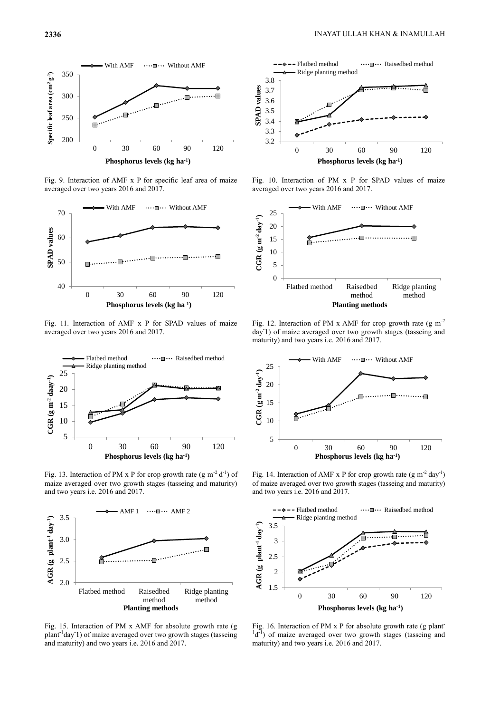

Fig. 9. Interaction of AMF x P for specific leaf area of maize averaged over two years 2016 and 2017.



Fig. 11. Interaction of AMF x P for SPAD values of maize averaged over two years 2016 and 2017.



Fig. 13. Interaction of PM x P for crop growth rate  $(g m^{-2} d^{-1})$  of maize averaged over two growth stages (tasseing and maturity) and two years i.e. 2016 and 2017.



Fig. 15. Interaction of PM x AMF for absolute growth rate (g plant<sup>-1</sup>day<sup>1</sup>) of maize averaged over two growth stages (tasseing and maturity) and two years i.e. 2016 and 2017.



Fig. 10. Interaction of PM x P for SPAD values of maize averaged over two years 2016 and 2017.



Fig. 12. Interaction of PM x AMF for crop growth rate  $(g m<sup>-2</sup>)$ day-1) of maize averaged over two growth stages (tasseing and maturity) and two years i.e. 2016 and 2017.



Fig. 14. Interaction of AMF x P for crop growth rate  $(g m^2 day^{-1})$ of maize averaged over two growth stages (tasseing and maturity) and two years i.e. 2016 and 2017.



Fig. 16. Interaction of PM x P for absolute growth rate (g plant- $\mathrm{d}^1$ d<sup>-1</sup>) of maize averaged over two growth stages (tasseing and maturity) and two years i.e. 2016 and 2017.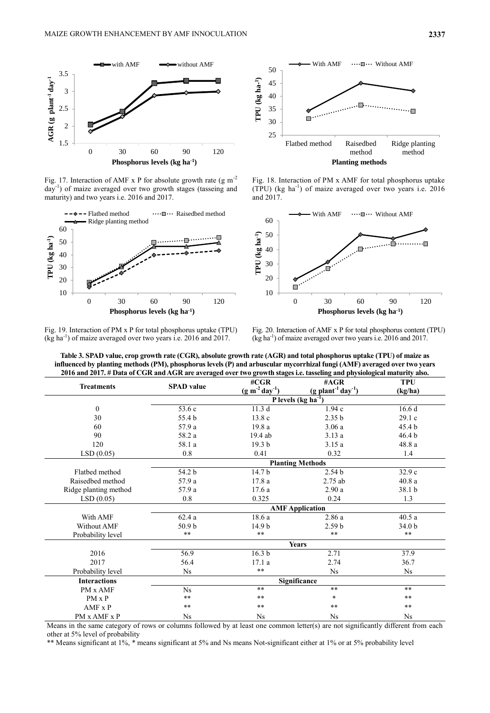

Fig. 17. Interaction of AMF x P for absolute growth rate  $(g m<sup>-2</sup>)$ day-1 ) of maize averaged over two growth stages (tasseing and maturity) and two years i.e. 2016 and 2017.



Fig. 19. Interaction of PM x P for total phosphorus uptake (TPU)  $(\text{kg ha}^{-1})$  of maize averaged over two years i.e. 2016 and 2017.



Fig. 18. Interaction of PM x AMF for total phosphorus uptake  $(TPU)$  (kg ha<sup>-1</sup>) of maize averaged over two years i.e. 2016 and 2017.



Fig. 20. Interaction of AMF x P for total phosphorus content (TPU) (kg ha-1 ) of maize averaged over two years i.e. 2016 and 2017.

| <b>Treatments</b>     | <b>SPAD</b> value               | $\# CGR$               | $\#AGR$                                      | <b>TPU</b>        |  |  |
|-----------------------|---------------------------------|------------------------|----------------------------------------------|-------------------|--|--|
|                       |                                 | $(g m-2 day-1)$        | $(g$ plant <sup>-1</sup> day <sup>-1</sup> ) | (kg/ha)           |  |  |
|                       | P levels (kg ha <sup>-1</sup> ) |                        |                                              |                   |  |  |
| $\mathbf{0}$          | 53.6 c                          | 11.3d                  | 1.94c                                        | 16.6d             |  |  |
| 30                    | 55.4 b                          | 13.8c                  | 2.35 <sub>b</sub>                            | 29.1c             |  |  |
| 60                    | 57.9 a                          | 19.8a                  | 3.06a                                        | 45.4 <sub>b</sub> |  |  |
| 90                    | 58.2 a                          | 19.4 ab                | 3.13a                                        | 46.4 <sub>b</sub> |  |  |
| 120                   | 58.1 a                          | 19.3 <sub>b</sub>      | 3.15a                                        | 48.8 a            |  |  |
| LSD(0.05)             | 0.8                             | 0.41                   | 0.32                                         | 1.4               |  |  |
|                       | <b>Planting Methods</b>         |                        |                                              |                   |  |  |
| Flatbed method        | 54.2 b                          | 14.7 b                 | 2.54 <sub>b</sub>                            | 32.9 c            |  |  |
| Raisedbed method      | 57.9 a                          | 17.8a                  | $2.75$ ab                                    | 40.8a             |  |  |
| Ridge planting method | 57.9 a                          | 17.6a                  | 2.90a                                        | 38.1 b            |  |  |
| LSD(0.05)             | 0.8                             | 0.325                  | 0.24                                         | 1.3               |  |  |
|                       |                                 | <b>AMF</b> Application |                                              |                   |  |  |
| With AMF              | 62.4a                           | 18.6a                  | 2.86a                                        | 40.5a             |  |  |
| <b>Without AMF</b>    | 50.9 b                          | 14.9 b                 | 2.59 <sub>b</sub>                            | 34.0 b            |  |  |
| Probability level     | $***$                           | $**$                   | $\star\star$                                 | $\ast\ast$        |  |  |
|                       | <b>Years</b>                    |                        |                                              |                   |  |  |
| 2016                  | 56.9                            | 16.3 <sub>b</sub>      | 2.71                                         | 37.9              |  |  |
| 2017                  | 56.4                            | 17.1a                  | 2.74                                         | 36.7              |  |  |
| Probability level     | Ns                              | $**$                   | <b>Ns</b>                                    | <b>Ns</b>         |  |  |
| <b>Interactions</b>   |                                 | Significance           |                                              |                   |  |  |
| PM x AMF              | Ns                              | $**$                   | $\ast\ast$                                   | $**$              |  |  |
| $PM \times P$         | $***$                           | **                     | $\ast$                                       | $**$              |  |  |
| $AMF \times P$        | $\ast\ast$                      | **                     | $\ast\ast$                                   | $**$              |  |  |
| PM x AMF x P          | Ns                              | Ns                     | Ns                                           | Ns                |  |  |

**Table 3. SPAD value, crop growth rate (CGR), absolute growth rate (AGR) and total phosphorus uptake (TPU) of maize as influenced by planting methods (PM), phosphorus levels (P) and arbuscular mycorrhizal fungi (AMF) averaged over two years 2016 and 2017. # Data of CGR and AGR are averaged over two growth stages i.e. tasseling and physiological maturity also.**

Means in the same category of rows or columns followed by at least one common letter(s) are not significantly different from each other at 5% level of probability

\*\* Means significant at 1%, \* means significant at 5% and Ns means Not-significant either at 1% or at 5% probability level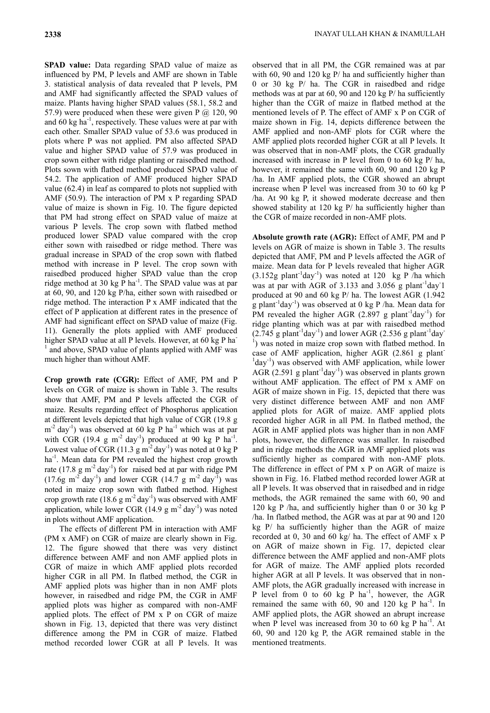**SPAD value:** Data regarding SPAD value of maize as influenced by PM, P levels and AMF are shown in Table 3. statistical analysis of data revealed that P levels, PM and AMF had significantly affected the SPAD values of maize. Plants having higher SPAD values (58.1, 58.2 and 57.9) were produced when these were given P  $@120,90$ and  $60 \text{ kg ha}^{-1}$ , respectively. These values were at par with each other. Smaller SPAD value of 53.6 was produced in plots where P was not applied. PM also affected SPAD value and higher SPAD value of 57.9 was produced in crop sown either with ridge planting or raisedbed method. Plots sown with flatbed method produced SPAD value of 54.2. The application of AMF produced higher SPAD value (62.4) in leaf as compared to plots not supplied with AMF (50.9). The interaction of PM x P regarding SPAD value of maize is shown in Fig. 10. The figure depicted that PM had strong effect on SPAD value of maize at various P levels. The crop sown with flatbed method produced lower SPAD value compared with the crop either sown with raisedbed or ridge method. There was gradual increase in SPAD of the crop sown with flatbed method with increase in P level. The crop sown with raisedbed produced higher SPAD value than the crop ridge method at 30 kg  $\overline{P}$  ha<sup>-1</sup>. The SPAD value was at par at 60, 90, and 120 kg P/ha, either sown with raisedbed or ridge method. The interaction P x AMF indicated that the effect of P application at different rates in the presence of AMF had significant effect on SPAD value of maize (Fig. 11). Generally the plots applied with AMF produced higher SPAD value at all P levels. However, at 60 kg P ha<sup>-</sup> <sup>1</sup> and above, SPAD value of plants applied with AMF was much higher than without AMF.

**Crop growth rate (CGR):** Effect of AMF, PM and P levels on CGR of maize is shown in Table 3. The results show that AMF, PM and P levels affected the CGR of maize. Results regarding effect of Phosphorus application at different levels depicted that high value of CGR (19.8 g  $m^{-2}$  day<sup>-1</sup>) was observed at 60 kg P ha<sup>-1</sup> which was at par with CGR (19.4 g m<sup>-2</sup> day<sup>-1</sup>) produced at 90 kg P ha<sup>-1</sup>. Lowest value of CGR (11.3  $\text{g m}^{-2} \text{day}^{-1}$ ) was noted at 0 kg P ha<sup>-1</sup>. Mean data for PM revealed the highest crop growth rate  $(17.8 \text{ g m}^{-2} \text{ day}^{-1})$  for raised bed at par with ridge PM  $(17.6g \text{ m}^2 \text{ day}^1)$  and lower CGR  $(14.7 g \text{ m}^2 \text{ day}^1)$  was noted in maize crop sown with flatbed method. Highest crop growth rate  $(18.6 \text{ g m}^{-2} \text{ day}^{-1})$  was observed with AMF application, while lower CGR (14.9  $\text{g m}^{-2}$  day<sup>-1</sup>) was noted in plots without AMF application.

The effects of different PM in interaction with AMF (PM x AMF) on CGR of maize are clearly shown in Fig. 12. The figure showed that there was very distinct difference between AMF and non AMF applied plots in CGR of maize in which AMF applied plots recorded higher CGR in all PM. In flatbed method, the CGR in AMF applied plots was higher than in non AMF plots however, in raisedbed and ridge PM, the CGR in AMF applied plots was higher as compared with non-AMF applied plots. The effect of PM x P on CGR of maize shown in Fig. 13, depicted that there was very distinct difference among the PM in CGR of maize. Flatbed method recorded lower CGR at all P levels. It was

observed that in all PM, the CGR remained was at par with 60, 90 and 120 kg P/ ha and sufficiently higher than 0 or 30 kg P/ ha. The CGR in raisedbed and ridge methods was at par at 60, 90 and 120 kg P/ ha sufficiently higher than the CGR of maize in flatbed method at the mentioned levels of P. The effect of AMF x P on CGR of maize shown in Fig. 14, depicts difference between the AMF applied and non-AMF plots for CGR where the AMF applied plots recorded higher CGR at all P levels. It was observed that in non-AMF plots, the CGR gradually increased with increase in P level from 0 to 60 kg P/ ha, however, it remained the same with 60, 90 and 120 kg P /ha. In AMF applied plots, the CGR showed an abrupt increase when P level was increased from 30 to 60 kg P /ha. At 90 kg P, it showed moderate decrease and then showed stability at 120 kg P/ ha sufficiently higher than the CGR of maize recorded in non-AMF plots.

**Absolute growth rate (AGR):** Effect of AMF, PM and P levels on AGR of maize is shown in Table 3. The results depicted that AMF, PM and P levels affected the AGR of maize. Mean data for P levels revealed that higher AGR  $(3.152g$  plant<sup>-1</sup>day<sup>-1</sup>) was noted at 120 kg P /ha which was at par with AGR of 3.133 and  $3.056$  g plant<sup>-1</sup>day<sup>-1</sup> produced at 90 and 60 kg P/ ha. The lowest AGR (1.942 g plant<sup>-1</sup>day<sup>-1</sup>) was observed at 0 kg P /ha. Mean data for PM revealed the higher AGR  $(2.897 \text{ g plant}^{-1} \text{day}^{-1})$  for ridge planting which was at par with raisedbed method  $(2.745 \text{ g plant}^{-1} \text{day}^{-1})$  and lower AGR  $(2.536 \text{ g plant}^{-1} \text{day}^{-1})$  $<sup>1</sup>$ ) was noted in maize crop sown with flatbed method. In</sup> case of AMF application, higher AGR (2.861 g plant-<sup>1</sup>day<sup>-1</sup>) was observed with AMF application, while lower AGR  $(2.591 \text{ g plant}^{-1} \text{day}^{-1})$  was observed in plants grown without AMF application. The effect of PM x AMF on AGR of maize shown in Fig. 15, depicted that there was very distinct difference between AMF and non AMF applied plots for AGR of maize. AMF applied plots recorded higher AGR in all PM. In flatbed method, the AGR in AMF applied plots was higher than in non AMF plots, however, the difference was smaller. In raisedbed and in ridge methods the AGR in AMF applied plots was sufficiently higher as compared with non-AMF plots. The difference in effect of PM x P on AGR of maize is shown in Fig. 16. Flatbed method recorded lower AGR at all P levels. It was observed that in raisedbed and in ridge methods, the AGR remained the same with 60, 90 and 120 kg P /ha, and sufficiently higher than 0 or 30 kg P /ha. In flatbed method, the AGR was at par at 90 and 120 kg P/ ha sufficiently higher than the AGR of maize recorded at 0, 30 and 60 kg/ ha. The effect of AMF x P on AGR of maize shown in Fig. 17, depicted clear difference between the AMF applied and non-AMF plots for AGR of maize. The AMF applied plots recorded higher AGR at all P levels. It was observed that in non-AMF plots, the AGR gradually increased with increase in P level from 0 to 60 kg P ha<sup>-1</sup>, however, the AGR remained the same with  $60$ , 90 and 120 kg P ha<sup>-1</sup>. In AMF applied plots, the AGR showed an abrupt increase when P level was increased from 30 to 60  $kg$  P ha<sup>-1</sup>. At 60, 90 and 120 kg P, the AGR remained stable in the mentioned treatments.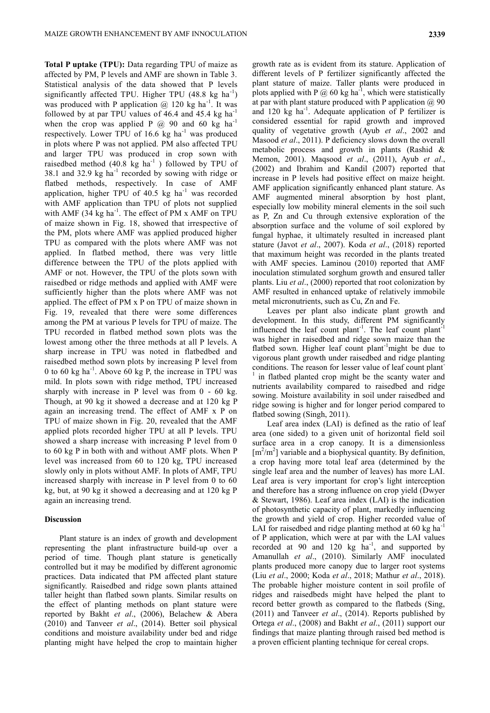**Total P uptake (TPU):** Data regarding TPU of maize as affected by PM, P levels and AMF are shown in Table 3. Statistical analysis of the data showed that P levels significantly affected TPU. Higher TPU  $(48.8 \text{ kg ha}^{-1})$ was produced with P application  $\omega$  120 kg ha<sup>-1</sup>. It was followed by at par TPU values of  $46.4$  and  $45.4$  kg ha<sup>-1</sup> when the crop was applied P  $@$  90 and 60 kg ha<sup>-1</sup> respectively. Lower TPU of  $16.6 \text{ kg}$  ha<sup>-1</sup> was produced in plots where P was not applied. PM also affected TPU and larger TPU was produced in crop sown with raisedbed method  $(40.8 \text{ kg} \text{ ha}^{-1})$  followed by TPU of 38.1 and 32.9  $kg$  ha<sup>-1</sup> recorded by sowing with ridge or flatbed methods, respectively. In case of AMF application, higher TPU of  $40.5 \text{ kg}$  ha<sup>-1</sup> was recorded with AMF application than TPU of plots not supplied with AMF  $(34 \text{ kg ha}^{-1})$ . The effect of PM x AMF on TPU of maize shown in Fig. 18, showed that irrespective of the PM, plots where AMF was applied produced higher TPU as compared with the plots where AMF was not applied. In flatbed method, there was very little difference between the TPU of the plots applied with AMF or not. However, the TPU of the plots sown with raisedbed or ridge methods and applied with AMF were sufficiently higher than the plots where AMF was not applied. The effect of PM x P on TPU of maize shown in Fig. 19, revealed that there were some differences among the PM at various P levels for TPU of maize. The TPU recorded in flatbed method sown plots was the lowest among other the three methods at all P levels. A sharp increase in TPU was noted in flatbedbed and raisedbed method sown plots by increasing P level from 0 to 60 kg ha<sup>-1</sup>. Above 60 kg P, the increase in TPU was mild. In plots sown with ridge method, TPU increased sharply with increase in P level was from 0 - 60 kg. Though, at 90 kg it showed a decrease and at 120 kg P again an increasing trend. The effect of AMF x P on TPU of maize shown in Fig. 20, revealed that the AMF applied plots recorded higher TPU at all P levels. TPU showed a sharp increase with increasing P level from 0 to 60 kg P in both with and without AMF plots. When P level was increased from 60 to 120 kg, TPU increased slowly only in plots without AMF. In plots of AMF, TPU increased sharply with increase in P level from 0 to 60 kg, but, at 90 kg it showed a decreasing and at 120 kg P again an increasing trend.

### **Discussion**

Plant stature is an index of growth and development representing the plant infrastructure build-up over a period of time. Though plant stature is genetically controlled but it may be modified by different agronomic practices. Data indicated that PM affected plant stature significantly. Raisedbed and ridge sown plants attained taller height than flatbed sown plants. Similar results on the effect of planting methods on plant stature were reported by Bakht *et al*., (2006), Belachew & Abera (2010) and Tanveer *et al*., (2014). Better soil physical conditions and moisture availability under bed and ridge planting might have helped the crop to maintain higher

growth rate as is evident from its stature. Application of different levels of P fertilizer significantly affected the plant stature of maize. Taller plants were produced in plots applied with P  $\omega$  60 kg ha<sup>-1</sup>, which were statistically at par with plant stature produced with P application  $\omega(0)$  90 and 120 kg ha<sup>-1</sup>. Adequate application of P fertilizer is considered essential for rapid growth and improved quality of vegetative growth (Ayub *et al*., 2002 and Masood *et al*., 2011). P deficiency slows down the overall metabolic process and growth in plants (Rashid & Memon, 2001). Maqsood *et al*., (2011), Ayub *et al*., (2002) and Ibrahim and Kandil (2007) reported that increase in P levels had positive effect on maize height. AMF application significantly enhanced plant stature. As AMF augmented mineral absorption by host plant, especially low mobility mineral elements in the soil such as P, Zn and Cu through extensive exploration of the absorption surface and the volume of soil explored by fungal hyphae, it ultimately resulted in increased plant stature (Javot *et al*., 2007). Koda *et al*., (2018) reported that maximum height was recorded in the plants treated with AMF species. Laminou (2010) reported that AMF inoculation stimulated sorghum growth and ensured taller plants. Liu *et al*., (2000) reported that root colonization by AMF resulted in enhanced uptake of relatively immobile metal micronutrients, such as Cu, Zn and Fe.

Leaves per plant also indicate plant growth and development. In this study, different PM significantly influenced the leaf count plant<sup>-1</sup>. The leaf count plant<sup>-1</sup> was higher in raisedbed and ridge sown maize than the flatbed sown. Higher leaf count plant<sup>-1</sup>might be due to vigorous plant growth under raisedbed and ridge planting conditions. The reason for lesser value of leaf count plant-1 in flatbed planted crop might be the scanty water and nutrients availability compared to raisedbed and ridge sowing. Moisture availability in soil under raisedbed and ridge sowing is higher and for longer period compared to flatbed sowing (Singh, 2011).

Leaf area index (LAI) is defined as the ratio of leaf area (one sided) to a given unit of horizontal field soil surface area in a crop canopy. It is a dimensionless  $[m<sup>2</sup>/m<sup>2</sup>]$  variable and a biophysical quantity. By definition, a crop having more total leaf area (determined by the single leaf area and the number of leaves) has more LAI. Leaf area is very important for crop's light interception and therefore has a strong influence on crop yield (Dwyer & Stewart, 1986). Leaf area index (LAI) is the indication of photosynthetic capacity of plant, markedly influencing the growth and yield of crop. Higher recorded value of LAI for raisedbed and ridge planting method at 60 kg ha<sup>-1</sup> of P application, which were at par with the LAI values recorded at 90 and 120  $\text{kg}$   $\text{ha}^{-1}$ , and supported by Amanullah *et al*., (2010). Similarly AMF inoculated plants produced more canopy due to larger root systems (Liu *et al*., 2000; Koda *et al*., 2018; Mathur *et al*., 2018). The probable higher moisture content in soil profile of ridges and raisedbeds might have helped the plant to record better growth as compared to the flatbeds (Sing, (2011) and Tanveer *et al*., (2014). Reports published by Ortega *et al*., (2008) and Bakht *et al*., (2011) support our findings that maize planting through raised bed method is a proven efficient planting technique for cereal crops.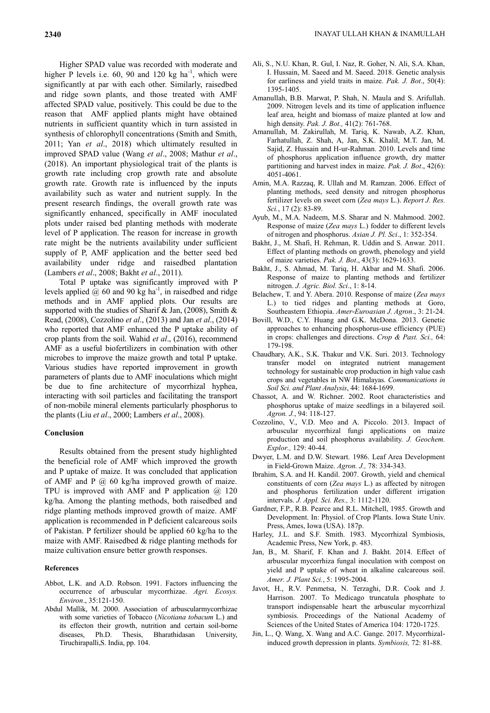Higher SPAD value was recorded with moderate and higher P levels i.e.  $60$ ,  $90$  and  $120$  kg ha<sup>-1</sup>, which were significantly at par with each other. Similarly, raisedbed and ridge sown plants, and those treated with AMF affected SPAD value, positively. This could be due to the reason that AMF applied plants might have obtained nutrients in sufficient quantity which in turn assisted in synthesis of chlorophyll concentrations (Smith and Smith, 2011; Yan *et al*., 2018) which ultimately resulted in improved SPAD value (Wang *et al*., 2008; Mathur *et al*., (2018). An important physiological trait of the plants is growth rate including crop growth rate and absolute growth rate. Growth rate is influenced by the inputs availability such as water and nutrient supply. In the present research findings, the overall growth rate was significantly enhanced, specifically in AMF inoculated plots under raised bed planting methods with moderate level of P application. The reason for increase in growth rate might be the nutrients availability under sufficient supply of P, AMF application and the better seed bed availability under ridge and raisedbed plantation (Lambers *et al*., 2008; Bakht *et al*., 2011).

Total P uptake was significantly improved with P levels applied  $\hat{\omega}$  60 and 90 kg ha<sup>-1</sup>, in raisedbed and ridge methods and in AMF applied plots. Our results are supported with the studies of Sharif & Jan,  $(2008)$ , Smith & Read, (2008), Cozzolino *et al*., (2013) and Jan *et al*., (2014) who reported that AMF enhanced the P uptake ability of crop plants from the soil. Wahid *et al*., (2016), recommend AMF as a useful biofertilizers in combination with other microbes to improve the maize growth and total P uptake. Various studies have reported improvement in growth parameters of plants due to AMF inoculations which might be due to fine architecture of mycorrhizal hyphea, interacting with soil particles and facilitating the transport of non-mobile mineral elements particularly phosphorus to the plants (Liu *et al*., 2000; Lambers *et al*., 2008).

## **Conclusion**

Results obtained from the present study highlighted the beneficial role of AMF which improved the growth and P uptake of maize. It was concluded that application of AMF and P  $(a)$  60 kg/ha improved growth of maize. TPU is improved with AMF and P application  $\omega$  120 kg/ha. Among the planting methods, both raisedbed and ridge planting methods improved growth of maize. AMF application is recommended in P deficient calcareous soils of Pakistan. P fertilizer should be applied 60 kg/ha to the maize with AMF. Raisedbed & ridge planting methods for maize cultivation ensure better growth responses.

### **References**

- Abbot, L.K. and A.D. Robson. 1991. Factors influencing the occurrence of arbuscular mycorrhizae. *Agri. Ecosys. Environ*., 35:121-150.
- Abdul Mallik, M. 2000. Association of arbuscularmycorrhizae with some varieties of Tobacco (*Nicotiana tobacum* L.) and its effecton their growth, nutrition and certain soil-borne diseases, Ph.D. Thesis, Bharathidasan University, Tiruchirapalli,S. India, pp. 104.
- Amanullah, B.B. Marwat, P. Shah, N. Maula and S. Arifullah. 2009. Nitrogen levels and its time of application influence leaf area, height and biomass of maize planted at low and high density. *Pak. J. Bot.,* 41(2): 761-768.
- Amanullah, M. Zakirullah, M. Tariq, K. Nawab, A.Z. Khan, Farhatullah, Z. Shah, A, Jan, S.K. Khalil, M.T. Jan, M. Sajid, Z. Hussain and H-ur-Rahman. 2010. Levels and time of phosphorus application influence growth, dry matter partitioning and harvest index in maize. *Pak. J. Bot*., 42(6): 4051-4061.
- Amin, M.A. Razzaq, R. Ullah and M. Ramzan. 2006. Effect of planting methods, seed density and nitrogen phosphorus fertilizer levels on sweet corn (*Zea mays* L.). *Report J. Res. Sci.*, 17 (2): 83-89.
- Ayub, M., M.A. Nadeem, M.S. Sharar and N. Mahmood. 2002. Response of maize (*Zea mays* L.) fodder to different levels of nitrogen and phosphorus. *Asian J. Pl. Sci*., 1: 352-354.
- Bakht, J., M. Shafi, H. Rehman, R. Uddin and S. Anwar. 2011. Effect of planting methods on growth, phenology and yield of maize varieties. *Pak. J. Bot*., 43(3): 1629-1633.
- Bakht, J., S. Ahmad, M. Tariq, H. Akbar and M. Shafi. 2006. Response of maize to planting methods and fertilizer nitrogen. *J. Agric. Biol. Sci*., 1: 8-14.
- Belachew, T. and Y. Abera. 2010. Response of maize (*Zea mays* L.) to tied ridges and planting methods at Goro, Southeastern Ethiopia. *Amer-Euroasian J. Agron*., 3: 21-24.
- Bovill, W.D., C.Y. Huang and G.K. McDona. 2013. Genetic approaches to enhancing phosphorus-use efficiency (PUE) in crops: challenges and directions. *Crop & Past. Sci.,* 64: 179-198.
- Chaudhary, A.K., S.K. Thakur and V.K. Suri. 2013. Technology transfer model on integrated nutrient management technology for sustainable crop production in high value cash crops and vegetables in NW Himalayas. *Communications in Soil Sci. and Plant Analysis*, 44: 1684-1699.
- Chassot, A. and W. Richner. 2002. Root characteristics and phosphorus uptake of maize seedlings in a bilayered soil. *Agron. J.*, 94: 118-127.
- Cozzolino, V., V.D. Meo and A. Piccolo. 2013. Impact of arbuscular mycorrhizal fungi applications on maize production and soil phosphorus availability. *J. Geochem. Explor.,* 129: 40-44.
- Dwyer, L.M. and D.W. Stewart. 1986. Leaf Area Development in Field-Grown Maize. *Agron. J.,* 78: 334-343.
- Ibrahim, S.A. and H. Kandil. 2007. Growth, yield and chemical constituents of corn (*Zea mays* L.) as affected by nitrogen and phosphorus fertilization under different irrigation intervals. *J. Appl. Sci. Res.,* 3: 1112-1120.
- Gardner, F.P., R.B. Pearce and R.L. Mitchell, 1985. Growth and Development. In: Physiol. of Crop Plants. Iowa State Univ. Press, Ames, Iowa (USA). 187p.
- Harley, J.L. and S.F. Smith. 1983. Mycorrhizal Symbiosis, Academic Press, New York, p. 483.
- Jan, B., M. Sharif, F. Khan and J. Bakht. 2014. Effect of arbuscular mycorrhiza fungal inoculation with compost on yield and P uptake of wheat in alkaline calcareous soil. *Amer. J. Plant Sci.*, 5: 1995-2004.
- Javot, H., R.V. Penmetsa, N. Terzaghi, D.R. Cook and J. Harrison. 2007. To Medicago truncatula phosphate to transport indispensable heart the arbuscular mycorrhizal symbiosis. Proceedings of the National Academy of Sciences of the United States of America 104: 1720-1725.
- Jin, L., Q. Wang, X. Wang and A.C. Gange. 2017. Mycorrhizalinduced growth depression in plants. *Symbiosis,* 72: 81-88.